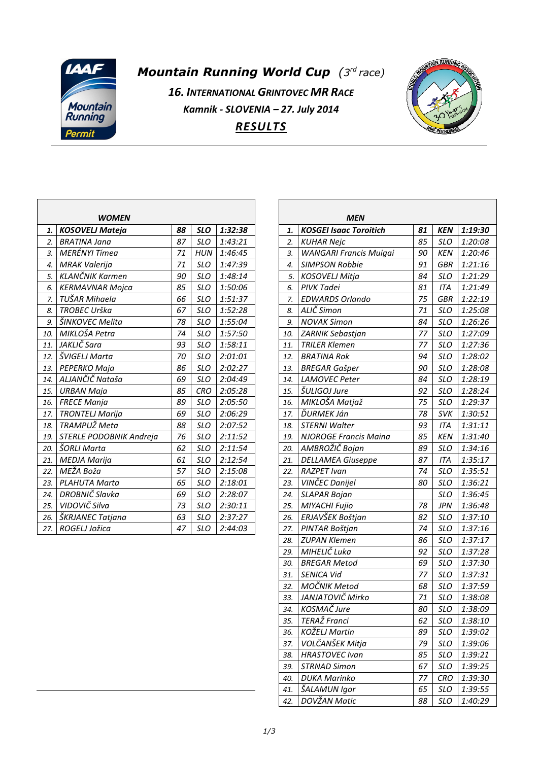

## *Mountain Running World Cup (3 rd race)*

*16. INTERNATIONAL GRINTOVEC MR RACE Kamnik - SLOVENIA – 27. July 2014 RESULTS*



|     | <b>WOMEN</b>                   |    |            |         |
|-----|--------------------------------|----|------------|---------|
| 1.  | <b>KOSOVELJ Mateja</b>         | 88 | <b>SLO</b> | 1:32:38 |
| 2.  | BRATINA Jana                   | 87 | <b>SLO</b> | 1:43:21 |
| 3.  | MERÉNYI Tímea                  | 71 | HUN        | 1:46:45 |
| 4.  | <b>MRAK Valerija</b>           | 71 | <b>SLO</b> | 1:47:39 |
| 5.  | KLANČNIK Karmen                | 90 | <b>SLO</b> | 1:48:14 |
| 6.  | <b>KERMAVNAR Mojca</b>         | 85 | <b>SLO</b> | 1:50:06 |
| 7.  | TUŠAR Mihaela                  | 66 | <b>SLO</b> | 1:51:37 |
| 8.  | TROBEC Urška                   | 67 | SLO        | 1:52:28 |
| 9.  | ŠINKOVEC Melita                | 78 | <b>SLO</b> | 1:55:04 |
| 10. | MIKLOŠA Petra                  | 74 | <b>SLO</b> | 1:57:50 |
| 11. | JAKLIČ Sara                    | 93 | <b>SLO</b> | 1:58:11 |
| 12. | ŠVIGELJ Marta                  | 70 | <b>SLO</b> | 2:01:01 |
| 13. | PEPERKO Maja                   | 86 | <b>SLO</b> | 2:02:27 |
| 14. | ALJANČIČ Nataša                | 69 | <b>SLO</b> | 2:04:49 |
| 15. | URBAN Maja                     | 85 | <b>CRO</b> | 2:05:28 |
| 16. | <b>FRECE Manja</b>             | 89 | <b>SLO</b> | 2:05:50 |
| 17. | <b>TRONTELJ Marija</b>         | 69 | <b>SLO</b> | 2:06:29 |
| 18. | TRAMPUŽ Meta                   | 88 | <b>SLO</b> | 2:07:52 |
| 19. | <b>STERLE PODOBNIK Andreja</b> | 76 | <b>SLO</b> | 2:11:52 |
| 20. | ŠORLI Marta                    | 62 | <b>SLO</b> | 2:11:54 |
| 21. | <b>MEDJA Marija</b>            | 61 | <b>SLO</b> | 2:12:54 |
| 22. | MEŽA Boža                      | 57 | <b>SLO</b> | 2:15:08 |
| 23. | <b>PLAHUTA Marta</b>           | 65 | <b>SLO</b> | 2:18:01 |
| 24. | DROBNIČ Slavka                 | 69 | <b>SLO</b> | 2:28:07 |
| 25. | VIDOVIČ Silva                  | 73 | <b>SLO</b> | 2:30:11 |
| 26. | ŠKRJANEC Tatjana               | 63 | <b>SLO</b> | 2:37:27 |
| 27. | ROGELJ Jožica                  | 47 | <b>SLO</b> | 2:44:03 |

| MEN |                               |    |            |         |  |  |  |  |  |  |  |  |
|-----|-------------------------------|----|------------|---------|--|--|--|--|--|--|--|--|
| 1.  | <b>KOSGEI Isaac Toroitich</b> | 81 | <b>KEN</b> | 1:19:30 |  |  |  |  |  |  |  |  |
| 2.  | KUHAR Nejc                    | 85 | <b>SLO</b> | 1:20:08 |  |  |  |  |  |  |  |  |
| 3.  | <b>WANGARI Francis Muigai</b> | 90 | <b>KEN</b> | 1:20:46 |  |  |  |  |  |  |  |  |
| 4.  | <b>SIMPSON Robbie</b>         | 91 | <b>GBR</b> | 1:21:16 |  |  |  |  |  |  |  |  |
| 5.  | KOSOVELJ Mitja                | 84 | <b>SLO</b> | 1:21:29 |  |  |  |  |  |  |  |  |
| 6.  | PIVK Tadei                    | 81 | <b>ITA</b> | 1:21:49 |  |  |  |  |  |  |  |  |
| 7.  | <b>EDWARDS Orlando</b>        | 75 | <b>GBR</b> | 1:22:19 |  |  |  |  |  |  |  |  |
| 8.  | ALIČ Simon                    | 71 | <b>SLO</b> | 1:25:08 |  |  |  |  |  |  |  |  |
| 9.  | <b>NOVAK Simon</b>            | 84 | <b>SLO</b> | 1:26:26 |  |  |  |  |  |  |  |  |
| 10. | ZARNIK Sebastjan              | 77 | <b>SLO</b> | 1:27:09 |  |  |  |  |  |  |  |  |
| 11. | <b>TRILER Klemen</b>          | 77 | <b>SLO</b> | 1:27:36 |  |  |  |  |  |  |  |  |
| 12. | <b>BRATINA Rok</b>            | 94 | <b>SLO</b> | 1:28:02 |  |  |  |  |  |  |  |  |
| 13. | <b>BREGAR Gašper</b>          | 90 | <b>SLO</b> | 1:28:08 |  |  |  |  |  |  |  |  |
| 14. | <b>LAMOVEC Peter</b>          | 84 | <b>SLO</b> | 1:28:19 |  |  |  |  |  |  |  |  |
| 15. | <i>ŠULIGOJ Jure</i>           | 92 | <b>SLO</b> | 1:28:24 |  |  |  |  |  |  |  |  |
| 16. | MIKLOŠA Matjaž                | 75 | <b>SLO</b> | 1:29:37 |  |  |  |  |  |  |  |  |
| 17. | ĎURMEK Ján                    | 78 | SVK        | 1:30:51 |  |  |  |  |  |  |  |  |
| 18. | <b>STERNI Walter</b>          | 93 | <b>ITA</b> | 1:31:11 |  |  |  |  |  |  |  |  |
| 19. | <b>NJOROGE Francis Maina</b>  | 85 | <b>KEN</b> | 1:31:40 |  |  |  |  |  |  |  |  |
| 20. | AMBROŽIČ Bojan                | 89 | <b>SLO</b> | 1:34:16 |  |  |  |  |  |  |  |  |
| 21. | <b>DELLAMEA Giuseppe</b>      | 87 | <b>ITA</b> | 1:35:17 |  |  |  |  |  |  |  |  |
| 22. | <b>RAZPET Ivan</b>            | 74 | <b>SLO</b> | 1:35:51 |  |  |  |  |  |  |  |  |
| 23. | VINČEC Danijel                | 80 | <b>SLO</b> | 1:36:21 |  |  |  |  |  |  |  |  |
| 24. | <b>SLAPAR Bojan</b>           |    | <b>SLO</b> | 1:36:45 |  |  |  |  |  |  |  |  |
| 25. | MIYACHI Fujio                 | 78 | <b>JPN</b> | 1:36:48 |  |  |  |  |  |  |  |  |
| 26. | ERJAVŠEK Boštjan              | 82 | <b>SLO</b> | 1:37:10 |  |  |  |  |  |  |  |  |
| 27. | PINTAR Boštjan                | 74 | <b>SLO</b> | 1:37:16 |  |  |  |  |  |  |  |  |
| 28. | <b>ZUPAN Klemen</b>           | 86 | <b>SLO</b> | 1:37:17 |  |  |  |  |  |  |  |  |
| 29. | MIHELIČ Luka                  | 92 | <b>SLO</b> | 1:37:28 |  |  |  |  |  |  |  |  |
| 30. | <b>BREGAR Metod</b>           | 69 | <b>SLO</b> | 1:37:30 |  |  |  |  |  |  |  |  |
| 31. | SENICA Vid                    | 77 | SLO        | 1:37:31 |  |  |  |  |  |  |  |  |
| 32. | MOČNIK Metod                  | 68 | SLO        | 1:37:59 |  |  |  |  |  |  |  |  |
| 33. | JANJATOVIČ Mirko              | 71 | <b>SLO</b> | 1:38:08 |  |  |  |  |  |  |  |  |
| 34. | KOSMAČ Jure                   | 80 | <b>SLO</b> | 1:38:09 |  |  |  |  |  |  |  |  |
| 35. | TERAŽ Franci                  | 62 | <b>SLO</b> | 1:38:10 |  |  |  |  |  |  |  |  |
| 36. | KOŽELJ Martin                 | 89 | <b>SLO</b> | 1:39:02 |  |  |  |  |  |  |  |  |
| 37. | VOLČANŠEK Mitja               | 79 | <b>SLO</b> | 1:39:06 |  |  |  |  |  |  |  |  |
| 38. | <b>HRASTOVEC Ivan</b>         | 85 | SLO        | 1:39:21 |  |  |  |  |  |  |  |  |
| 39. | STRNAD Simon                  | 67 | SLO        | 1:39:25 |  |  |  |  |  |  |  |  |
| 40. | <b>DUKA Marinko</b>           | 77 | <b>CRO</b> | 1:39:30 |  |  |  |  |  |  |  |  |
| 41. | ŠALAMUN Igor                  | 65 | <b>SLO</b> | 1:39:55 |  |  |  |  |  |  |  |  |
| 42. | DOVŽAN Matic                  | 88 | <b>SLO</b> | 1:40:29 |  |  |  |  |  |  |  |  |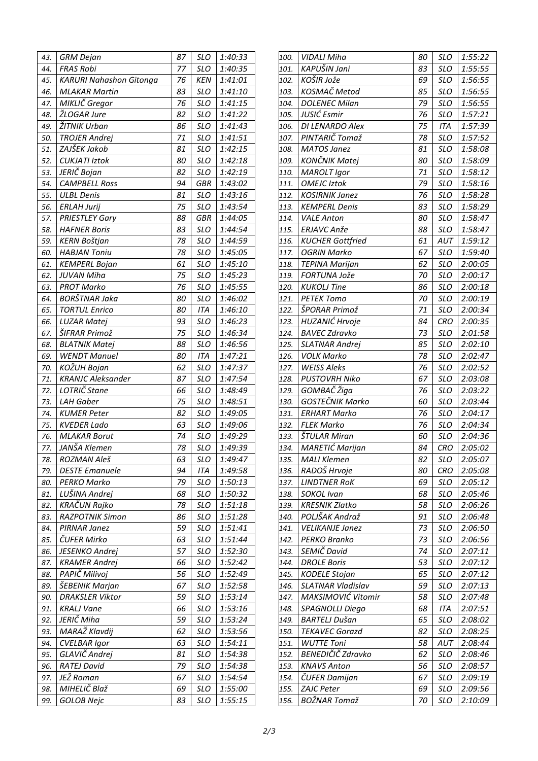| 43. | <b>GRM Dejan</b>               | 87 | <b>SLO</b> | 1:40:33 |
|-----|--------------------------------|----|------------|---------|
| 44. | <b>FRAS Robi</b>               | 77 | <b>SLO</b> | 1:40:35 |
| 45. | <b>KARURI Nahashon Gitonga</b> | 76 | <b>KEN</b> | 1:41:01 |
| 46. | <b>MLAKAR Martin</b>           | 83 | SLO        | 1:41:10 |
| 47. | MIKLIČ Gregor                  | 76 | <b>SLO</b> | 1:41:15 |
| 48. | ŽLOGAR Jure                    | 82 | <b>SLO</b> | 1:41:22 |
| 49. | ŽITNIK Urban                   | 86 | <b>SLO</b> | 1:41:43 |
| 50. | <b>TROJER Andrej</b>           | 71 | <b>SLO</b> | 1:41:51 |
| 51. | ZAJŠEK Jakob                   | 81 | <b>SLO</b> | 1:42:15 |
| 52. | <b>CUKJATI Iztok</b>           | 80 | <b>SLO</b> | 1:42:18 |
| 53. | JERIČ Bojan                    | 82 | <b>SLO</b> | 1:42:19 |
| 54. | <b>CAMPBELL Ross</b>           | 94 | <b>GBR</b> | 1:43:02 |
| 55. | <b>ULBL Denis</b>              | 81 | SLO        | 1:43:16 |
| 56. | <b>ERLAH Jurij</b>             | 75 | <b>SLO</b> | 1:43:54 |
| 57. | <b>PRIESTLEY Gary</b>          | 88 | GBR        | 1:44:05 |
| 58. | <b>HAFNER Boris</b>            | 83 | <b>SLO</b> | 1:44:54 |
| 59. | <b>KERN Boštjan</b>            | 78 | <b>SLO</b> | 1:44:59 |
| 60. | <b>HABJAN Toniu</b>            | 78 | <b>SLO</b> | 1:45:05 |
| 61. | <b>KEMPERL Bojan</b>           | 61 | <b>SLO</b> | 1:45:10 |
| 62. | JUVAN Miha                     | 75 | <b>SLO</b> | 1:45:23 |
| 63. | <b>PROT Marko</b>              | 76 | SLO        | 1:45:55 |
| 64. | BORŠTNAR Jaka                  | 80 | <b>SLO</b> | 1:46:02 |
| 65. | <b>TORTUL Enrico</b>           | 80 | <b>ITA</b> | 1:46:10 |
| 66. | LUZAR Matej                    | 93 | <b>SLO</b> | 1:46:23 |
| 67. | ŠIFRAR Primož                  | 75 | <b>SLO</b> | 1:46:34 |
| 68. | <b>BLATNIK Matej</b>           | 88 | <b>SLO</b> | 1:46:56 |
| 69. | <b>WENDT Manuel</b>            | 80 | <b>ITA</b> | 1:47:21 |
| 70. | KOŽUH Bojan                    | 62 | <b>SLO</b> | 1:47:37 |
| 71. | <b>KRANJC Aleksander</b>       | 87 | <b>SLO</b> | 1:47:54 |
| 72. | LOTRIČ Stane                   | 66 | <b>SLO</b> | 1:48:49 |
| 73. | <b>LAH Gaber</b>               | 75 | <b>SLO</b> | 1:48:51 |
| 74. | <b>KUMER Peter</b>             | 82 | <b>SLO</b> | 1:49:05 |
| 75. | <b>KVEDER Lado</b>             | 63 | <b>SLO</b> | 1:49:06 |
| 76. | <b>MLAKAR Borut</b>            | 74 | <b>SLO</b> | 1:49:29 |
| 77. | JANŠA Klemen                   | 78 | <b>SLO</b> | 1:49:39 |
| 78. | ROZMAN Aleš                    | 63 | SLO        | 1:49:47 |
| 79. | <b>DESTE Emanuele</b>          | 94 | ITA        | 1:49:58 |
| 80. | PERKO Marko                    | 79 | <b>SLO</b> | 1:50:13 |
| 81. | LUŠINA Andrej                  | 68 | <b>SLO</b> | 1:50:32 |
| 82. | KRAČUN Rajko                   | 78 | <b>SLO</b> | 1:51:18 |
| 83. | RAZPOTNIK Simon                | 86 | <b>SLO</b> | 1:51:28 |
| 84. | PIRNAR Janez                   | 59 | <b>SLO</b> | 1:51:41 |
| 85. | ČUFER Mirko                    | 63 | SLO        | 1:51:44 |
| 86. | JESENKO Andrej                 | 57 | <b>SLO</b> | 1:52:30 |
| 87. | <b>KRAMER Andrej</b>           | 66 | SLO        | 1:52:42 |
| 88. | PAPIČ Milivoj                  | 56 | SLO        | 1:52:49 |
| 89. | ŠEBENIK Marjan                 | 67 | <b>SLO</b> | 1:52:58 |
| 90. | <b>DRAKSLER Viktor</b>         | 59 | <b>SLO</b> | 1:53:14 |
| 91. | <b>KRALJ Vane</b>              | 66 | <b>SLO</b> | 1:53:16 |
| 92. | JERIČ Miha                     | 59 | SLO        | 1:53:24 |
| 93. | MARAŽ Klavdij                  | 62 | <b>SLO</b> | 1:53:56 |
| 94. | <b>CVELBAR Igor</b>            | 63 | SLO        | 1:54:11 |
| 95. | GLAVIČ Andrej                  | 81 | <b>SLO</b> | 1:54:38 |
| 96. | <b>RATEJ David</b>             | 79 | SLO        | 1:54:38 |
| 97. | JEŽ Roman                      | 67 | SLO        | 1:54:54 |
| 98. | MIHELIČ Blaž                   | 69 | <b>SLO</b> | 1:55:00 |
| 99. | <b>GOLOB Nejc</b>              | 83 | <b>SLO</b> | 1:55:15 |

| 100. | <b>VIDALI Miha</b>       | 80 | <b>SLO</b> | 1:55:22 |
|------|--------------------------|----|------------|---------|
| 101. | KAPUŠIN Jani             | 83 | <b>SLO</b> | 1:55:55 |
| 102. | KOŠIR Jože               | 69 | <b>SLO</b> | 1:56:55 |
| 103. | KOSMAČ Metod             | 85 | SLO        | 1:56:55 |
| 104. | <b>DOLENEC Milan</b>     | 79 | <b>SLO</b> | 1:56:55 |
| 105. | JUSIĆ Esmir              | 76 | <b>SLO</b> | 1:57:21 |
| 106. | DI LENARDO Alex          | 75 | <b>ITA</b> | 1:57:39 |
| 107. | PINTARIČ Tomaž           | 78 | <b>SLO</b> | 1:57:52 |
| 108. | <b>MATOS Janez</b>       | 81 | <b>SLO</b> | 1:58:08 |
| 109. | KONČNIK Matej            | 80 | <b>SLO</b> | 1:58:09 |
| 110. | <b>MAROLT Igor</b>       | 71 | <b>SLO</b> | 1:58:12 |
| 111. | <b>OMEJC</b> Iztok       | 79 | <b>SLO</b> | 1:58:16 |
| 112. | <b>KOSIRNIK Janez</b>    | 76 | <b>SLO</b> | 1:58:28 |
| 113. | <b>KEMPERL Denis</b>     | 83 | SLO        | 1:58:29 |
| 114. | <b>VALE Anton</b>        | 80 | <b>SLO</b> | 1:58:47 |
| 115. | <b>ERJAVC Anže</b>       | 88 | SLO        | 1:58:47 |
| 116. | <b>KUCHER Gottfried</b>  | 61 | AUT        | 1:59:12 |
| 117. | <b>OGRIN Marko</b>       | 67 | <b>SLO</b> | 1:59:40 |
| 118. | <b>TEPINA Marijan</b>    | 62 | <b>SLO</b> | 2:00:05 |
| 119. | FORTUNA Jože             | 70 | <b>SLO</b> | 2:00:17 |
| 120. | <b>KUKOLJ Tine</b>       | 86 | <b>SLO</b> | 2:00:18 |
| 121. | <b>PETEK Tomo</b>        | 70 | SLO        | 2:00:19 |
| 122. | ŠPORAR Primož            | 71 | <b>SLO</b> | 2:00:34 |
| 123. | HUZANIĆ Hrvoje           | 84 | <b>CRO</b> | 2:00:35 |
| 124. | <b>BAVEC Zdravko</b>     | 73 | <b>SLO</b> | 2:01:58 |
| 125. | <b>SLATNAR Andrej</b>    | 85 | <b>SLO</b> | 2:02:10 |
| 126. | <b>VOLK Marko</b>        | 78 | <b>SLO</b> | 2:02:47 |
| 127. | <b>WEISS Aleks</b>       | 76 | <b>SLO</b> | 2:02:52 |
| 128. | <b>PUSTOVRH Niko</b>     | 67 | <b>SLO</b> | 2:03:08 |
| 129. | GOMBAČ Žiga              | 76 | <b>SLO</b> | 2:03:22 |
| 130. | <b>GOSTEČNIK Marko</b>   | 60 | SLO        | 2:03:44 |
| 131. | <b>ERHART Marko</b>      | 76 | <b>SLO</b> | 2:04:17 |
| 132. | <b>FLEK Marko</b>        | 76 | <b>SLO</b> | 2:04:34 |
| 133. | ŠTULAR Miran             | 60 | <b>SLO</b> | 2:04:36 |
| 134. | <b>MARETIĆ Marijan</b>   | 84 | <b>CRO</b> | 2:05:02 |
| 135. | <b>MALI Klemen</b>       | 82 | SLO        | 2:05:07 |
| 136. | RADOŠ Hrvoje             | 80 | <b>CRO</b> | 2:05:08 |
| 137. | <b>LINDTNER RoK</b>      | 69 | SLO        | 2:05:12 |
| 138. | SOKOL Ivan               | 68 | SLO        | 2:05:46 |
| 139. | <b>KRESNIK Zlatko</b>    | 58 | SLO        | 2:06:26 |
| 140. | POLJŠAK Andraž           | 91 | <b>SLO</b> | 2:06:48 |
| 141. | <b>VELIKANJE Janez</b>   | 73 | <b>SLO</b> | 2:06:50 |
| 142. | PERKO Branko             | 73 | <b>SLO</b> | 2:06:56 |
| 143. | SEMIČ David              | 74 | SLO        | 2:07:11 |
| 144. | <b>DROLE Boris</b>       | 53 | SLO        | 2:07:12 |
| 145. | <b>KODELE Stojan</b>     | 65 | SLO        | 2:07:12 |
| 146. | <b>SLATNAR Vladislav</b> | 59 | <b>SLO</b> | 2:07:13 |
| 147. | MAKSIMOVIĆ Vitomir       | 58 | SLO        | 2:07:48 |
| 148. | SPAGNOLLI Diego          | 68 | ITA        | 2:07:51 |
| 149. | BARTELJ Dušan            | 65 | <b>SLO</b> | 2:08:02 |
| 150. | <b>TEKAVEC Gorazd</b>    | 82 | <b>SLO</b> | 2:08:25 |
| 151. | <b>WUTTE Toni</b>        | 58 | AUT        | 2:08:44 |
| 152. | BENEDIČIČ Zdravko        | 62 | SLO        | 2:08:46 |
| 153. | <b>KNAVS Anton</b>       | 56 | SLO        | 2:08:57 |
| 154. | ČUFER Damijan            | 67 | <b>SLO</b> | 2:09:19 |
| 155. | <b>ZAJC Peter</b>        | 69 | SLO        | 2:09:56 |
| 156. | BOŽNAR Tomaž             | 70 | SLO        | 2:10:09 |
|      |                          |    |            |         |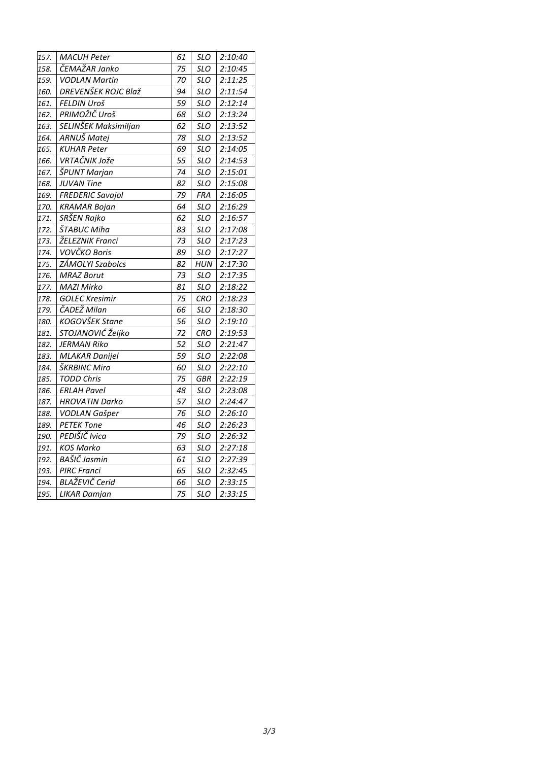| 157. | <b>MACUH Peter</b>         | 61 | <b>SLO</b> | 2:10:40 |
|------|----------------------------|----|------------|---------|
| 158. | ČEMAŽAR Janko              | 75 | <b>SLO</b> | 2:10:45 |
| 159. | <b>VODLAN Martin</b>       | 70 | <b>SLO</b> | 2:11:25 |
| 160. | <b>DREVENŠEK ROJC Blaž</b> | 94 | <b>SLO</b> | 2:11:54 |
| 161. | FELDIN Uroš                | 59 | <b>SLO</b> | 2:12:14 |
| 162. | PRIMOŽIČ Uroš              | 68 | <b>SLO</b> | 2:13:24 |
| 163. | SELINŠEK Maksimiljan       | 62 | <b>SLO</b> | 2:13:52 |
| 164. | ARNUŠ Matej                | 78 | <b>SLO</b> | 2:13:52 |
| 165. | <b>KUHAR Peter</b>         | 69 | <b>SLO</b> | 2:14:05 |
| 166. | VRTAČNIK Jože              | 55 | <b>SLO</b> | 2:14:53 |
| 167. | ŠPUNT Marjan               | 74 | <b>SLO</b> | 2:15:01 |
| 168. | <b>JUVAN Tine</b>          | 82 | <b>SLO</b> | 2:15:08 |
| 169. | <b>FREDERIC Savajol</b>    | 79 | <b>FRA</b> | 2:16:05 |
| 170. | <b>KRAMAR Bojan</b>        | 64 | <b>SLO</b> | 2:16:29 |
| 171. | SRŠEN Rajko                | 62 | <b>SLO</b> | 2:16:57 |
| 172. | ŠTABUC Miha                | 83 | <b>SLO</b> | 2:17:08 |
| 173. | ŽELEZNIK Franci            | 73 | <b>SLO</b> | 2:17:23 |
| 174. | VOVČKO Boris               | 89 | <b>SLO</b> | 2:17:27 |
| 175. | ZÁMOLYI Szabolcs           | 82 | <b>HUN</b> | 2:17:30 |
| 176. | <b>MRAZ Borut</b>          | 73 | <b>SLO</b> | 2:17:35 |
| 177. | MAZI Mirko                 | 81 | <b>SLO</b> | 2:18:22 |
| 178. | <b>GOLEC Kresimir</b>      | 75 | <b>CRO</b> | 2:18:23 |
| 179. | ČADEŽ Milan                | 66 | <b>SLO</b> | 2:18:30 |
| 180. | KOGOVŠEK Stane             | 56 | <b>SLO</b> | 2:19:10 |
| 181. | STOJANOVIĆ Željko          | 72 | <b>CRO</b> | 2:19:53 |
| 182. | <b>JERMAN Riko</b>         | 52 | <b>SLO</b> | 2:21:47 |
| 183. | <b>MLAKAR Danijel</b>      | 59 | <b>SLO</b> | 2:22:08 |
| 184. | ŠKRBINC Miro               | 60 | <b>SLO</b> | 2:22:10 |
| 185. | <b>TODD Chris</b>          | 75 | <b>GBR</b> | 2:22:19 |
| 186. | <b>ERLAH Pavel</b>         | 48 | <b>SLO</b> | 2:23:08 |
| 187. | <b>HROVATIN Darko</b>      | 57 | <b>SLO</b> | 2:24:47 |
| 188. | <b>VODLAN Gašper</b>       | 76 | <b>SLO</b> | 2:26:10 |
| 189. | <b>PETEK Tone</b>          | 46 | <b>SLO</b> | 2:26:23 |
| 190. | PEDIŠIČ Ivica              | 79 | <b>SLO</b> | 2:26:32 |
| 191. | <b>KOS Marko</b>           | 63 | <b>SLO</b> | 2:27:18 |
| 192. | BAŠIČ Jasmin               | 61 | <b>SLO</b> | 2:27:39 |
| 193. | <b>PIRC Franci</b>         | 65 | <b>SLO</b> | 2:32:45 |
| 194. | <b>BLAŽEVIČ Cerid</b>      | 66 | <b>SLO</b> | 2:33:15 |
| 195. | <b>LIKAR Damjan</b>        | 75 | <b>SLO</b> | 2:33:15 |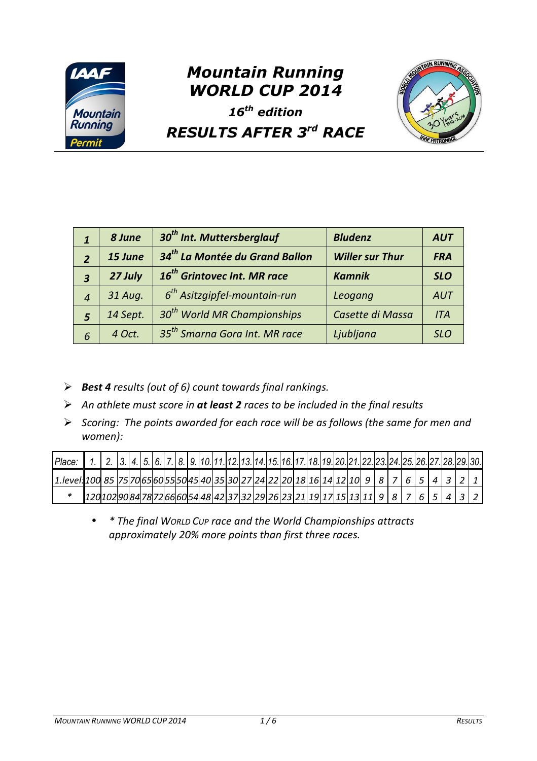

## *Mountain Running WORLD CUP 2014*





## *RESULTS AFTER 3rd RACE*

|                         | 8 June   | 30 <sup>th</sup> Int. Muttersberglauf      | <b>Bludenz</b>         | <b>AUT</b> |
|-------------------------|----------|--------------------------------------------|------------------------|------------|
| $\overline{2}$          | 15 June  | 34 <sup>th</sup> La Montée du Grand Ballon | <b>Willer sur Thur</b> | <b>FRA</b> |
| $\overline{\mathbf{3}}$ | 27 July  | 16 <sup>th</sup> Grintovec Int. MR race    | <b>Kamnik</b>          | <b>SLO</b> |
| $\overline{4}$          | 31 Aug.  | $6th$ Asitzgipfel-mountain-run             | Leogang                | <b>AUT</b> |
| 5                       | 14 Sept. | 30 <sup>th</sup> World MR Championships    | Casette di Massa       | <b>ITA</b> |
| 6                       | 4 Oct.   | 35 <sup>th</sup> Smarna Gora Int. MR race  | Ljubljana              | <b>SLO</b> |

- *Best 4 results (out of 6) count towards final rankings.*
- *An athlete must score in at least 2 races to be included in the final results*
- *Scoring: The points awarded for each race will be as follows (the same for men and women):*

| Place:                                                                                                          | 2. 3. 4. 5. 6. 7. 8. 9. 10. 11. 12. 13. 14. 15. 16. 17. 18. 19. 20. 21. 22. 23. 24. 25. 26. 27. 28. 29. 30. |  |  |  |  |  |  |  |  |  |  |  |  |  |  |
|-----------------------------------------------------------------------------------------------------------------|-------------------------------------------------------------------------------------------------------------|--|--|--|--|--|--|--|--|--|--|--|--|--|--|
| . [2] s [7] [3] l ] [8] [9] [9] [8] [9] [1] steedly foodstates [30] [31] [31] [3] [3] [3] [3] [3] [3] [3] [3] [ |                                                                                                             |  |  |  |  |  |  |  |  |  |  |  |  |  |  |
|                                                                                                                 |                                                                                                             |  |  |  |  |  |  |  |  |  |  |  |  |  |  |

• *\* The final WORLD CUP race and the World Championships attracts approximately 20% more points than first three races.*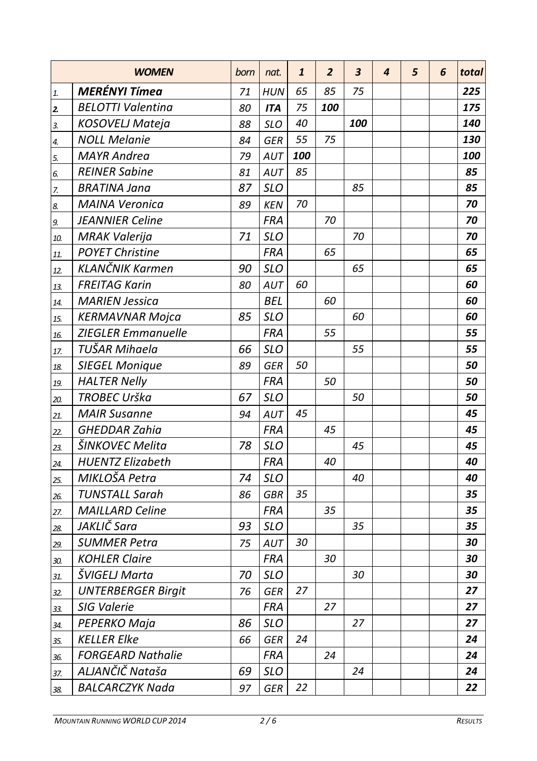|     | <b>WOMEN</b>              | born | nat.       | 1   | $\overline{2}$ | 3   | 4 | 5 | 6 | total |
|-----|---------------------------|------|------------|-----|----------------|-----|---|---|---|-------|
| 1.  | <b>MERÉNYI Tímea</b>      | 71   | <b>HUN</b> | 65  | 85             | 75  |   |   |   | 225   |
| 2.  | <b>BELOTTI Valentina</b>  | 80   | <b>ITA</b> | 75  | 100            |     |   |   |   | 175   |
| 3.  | KOSOVELJ Mateja           | 88   | <b>SLO</b> | 40  |                | 100 |   |   |   | 140   |
| 4.  | <b>NOLL Melanie</b>       | 84   | <b>GER</b> | 55  | 75             |     |   |   |   | 130   |
| 5.  | <b>MAYR</b> Andrea        | 79   | AUT        | 100 |                |     |   |   |   | 100   |
| 6.  | <b>REINER Sabine</b>      | 81   | AUT        | 85  |                |     |   |   |   | 85    |
| 7.  | <b>BRATINA Jana</b>       | 87   | <b>SLO</b> |     |                | 85  |   |   |   | 85    |
| 8.  | <b>MAINA Veronica</b>     | 89   | <b>KEN</b> | 70  |                |     |   |   |   | 70    |
| 9.  | <b>JEANNIER Celine</b>    |      | <b>FRA</b> |     | 70             |     |   |   |   | 70    |
| 10. | <b>MRAK Valerija</b>      | 71   | <b>SLO</b> |     |                | 70  |   |   |   | 70    |
| 11. | <b>POYET Christine</b>    |      | <b>FRA</b> |     | 65             |     |   |   |   | 65    |
| 12. | <b>KLANČNIK Karmen</b>    | 90   | <b>SLO</b> |     |                | 65  |   |   |   | 65    |
| 13. | <b>FREITAG Karin</b>      | 80   | AUT        | 60  |                |     |   |   |   | 60    |
| 14. | <b>MARIEN Jessica</b>     |      | <b>BEL</b> |     | 60             |     |   |   |   | 60    |
| 15. | KERMAVNAR Mojca           | 85   | <b>SLO</b> |     |                | 60  |   |   |   | 60    |
| 16. | <b>ZIEGLER Emmanuelle</b> |      | FRA        |     | 55             |     |   |   |   | 55    |
| 17. | TUŠAR Mihaela             | 66   | <b>SLO</b> |     |                | 55  |   |   |   | 55    |
| 18. | <b>SIEGEL Monique</b>     | 89   | <b>GER</b> | 50  |                |     |   |   |   | 50    |
| 19. | <b>HALTER Nelly</b>       |      | FRA        |     | 50             |     |   |   |   | 50    |
| 20. | TROBEC Urška              | 67   | <b>SLO</b> |     |                | 50  |   |   |   | 50    |
| 21. | <b>MAIR Susanne</b>       | 94   | AUT        | 45  |                |     |   |   |   | 45    |
| 22. | GHEDDAR Zahia             |      | <b>FRA</b> |     | 45             |     |   |   |   | 45    |
| 23. | ŠINKOVEC Melita           | 78   | SLO        |     |                | 45  |   |   |   | 45    |
| 24. | <b>HUENTZ Elizabeth</b>   |      | FRA        |     | 40             |     |   |   |   | 40    |
| 25. | MIKLOŠA Petra             | 74   | <b>SLO</b> |     |                | 40  |   |   |   | 40    |
| 26. | <b>TUNSTALL Sarah</b>     | 86   | <b>GBR</b> | 35  |                |     |   |   |   | 35    |
| 27. | <b>MAILLARD Celine</b>    |      | <b>FRA</b> |     | 35             |     |   |   |   | 35    |
| 28. | JAKLIČ Sara               | 93   | <b>SLO</b> |     |                | 35  |   |   |   | 35    |
| 29. | <b>SUMMER Petra</b>       | 75   | AUT        | 30  |                |     |   |   |   | 30    |
| 30. | <b>KOHLER Claire</b>      |      | <b>FRA</b> |     | 30             |     |   |   |   | 30    |
| 31. | ŠVIGELJ Marta             | 70   | <b>SLO</b> |     |                | 30  |   |   |   | 30    |
| 32. | <b>UNTERBERGER Birgit</b> | 76   | <b>GER</b> | 27  |                |     |   |   |   | 27    |
| 33. | <b>SIG Valerie</b>        |      | FRA        |     | 27             |     |   |   |   | 27    |
| 34. | PEPERKO Maja              | 86   | <b>SLO</b> |     |                | 27  |   |   |   | 27    |
| 35. | <b>KELLER Elke</b>        | 66   | <b>GER</b> | 24  |                |     |   |   |   | 24    |
| 36. | <b>FORGEARD Nathalie</b>  |      | <b>FRA</b> |     | 24             |     |   |   |   | 24    |
| 37. | ALJANČIČ Nataša           | 69   | <b>SLO</b> |     |                | 24  |   |   |   | 24    |
| 38. | <b>BALCARCZYK Nada</b>    | 97   | GER        | 22  |                |     |   |   |   | 22    |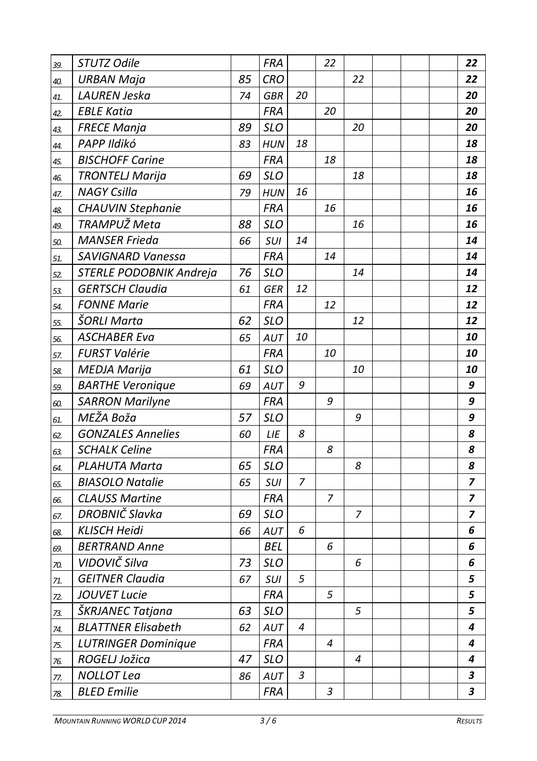| 39. | STUTZ Odile                |    | <b>FRA</b> |    | 22             |    |  | 22 |
|-----|----------------------------|----|------------|----|----------------|----|--|----|
| 40. | <b>URBAN Maja</b>          | 85 | CRO        |    |                | 22 |  | 22 |
| 41. | LAUREN Jeska               | 74 | <b>GBR</b> | 20 |                |    |  | 20 |
| 42. | <b>EBLE Katia</b>          |    | <b>FRA</b> |    | 20             |    |  | 20 |
| 43. | <b>FRECE Manja</b>         | 89 | <b>SLO</b> |    |                | 20 |  | 20 |
| 44. | PAPP Ildikó                | 83 | <b>HUN</b> | 18 |                |    |  | 18 |
| 45. | <b>BISCHOFF Carine</b>     |    | FRA        |    | 18             |    |  | 18 |
| 46. | <b>TRONTELJ Marija</b>     | 69 | <b>SLO</b> |    |                | 18 |  | 18 |
| 47. | <b>NAGY Csilla</b>         | 79 | <b>HUN</b> | 16 |                |    |  | 16 |
| 48. | CHAUVIN Stephanie          |    | <b>FRA</b> |    | 16             |    |  | 16 |
| 49. | TRAMPUŽ Meta               | 88 | <b>SLO</b> |    |                | 16 |  | 16 |
| 50. | <b>MANSER Frieda</b>       | 66 | SUI        | 14 |                |    |  | 14 |
| 51. | <b>SAVIGNARD Vanessa</b>   |    | <b>FRA</b> |    | 14             |    |  | 14 |
| 52. | STERLE PODOBNIK Andreja    | 76 | SLO        |    |                | 14 |  | 14 |
| 53. | <b>GERTSCH Claudia</b>     | 61 | GER        | 12 |                |    |  | 12 |
| 54. | <b>FONNE Marie</b>         |    | FRA        |    | 12             |    |  | 12 |
| 55. | ŠORLI Marta                | 62 | SLO        |    |                | 12 |  | 12 |
| 56. | <b>ASCHABER Eva</b>        | 65 | AUT        | 10 |                |    |  | 10 |
| 57. | <b>FURST Valérie</b>       |    | <b>FRA</b> |    | 10             |    |  | 10 |
| 58. | <b>MEDJA Marija</b>        | 61 | <b>SLO</b> |    |                | 10 |  | 10 |
| 59. | <b>BARTHE Veronique</b>    | 69 | AUT        | 9  |                |    |  | 9  |
| 60. | <b>SARRON Marilyne</b>     |    | FRA        |    | 9              |    |  | 9  |
| 61. | MEŽA Boža                  | 57 | <b>SLO</b> |    |                | 9  |  | 9  |
| 62. | <b>GONZALES Annelies</b>   | 60 | LIE        | 8  |                |    |  | 8  |
| 63. | <b>SCHALK Celine</b>       |    | <b>FRA</b> |    | 8              |    |  | 8  |
| 64. | PLAHUTA Marta              | 65 | <b>SLO</b> |    |                | 8  |  | 8  |
| 65. | <b>BIASOLO Natalie</b>     | 65 | <b>SUI</b> | 7  |                |    |  | 7  |
| 66. | <b>CLAUSS Martine</b>      |    | FRA        |    | 7              |    |  | 7  |
| 67. | DROBNIČ Slavka             | 69 | SLO        |    |                | 7  |  | 7  |
| 68. | <b>KLISCH Heidi</b>        | 66 | AUT        | 6  |                |    |  | 6  |
| 69. | <b>BERTRAND Anne</b>       |    | <b>BEL</b> |    | 6              |    |  | 6  |
| 70. | VIDOVIČ Silva              | 73 | <b>SLO</b> |    |                | 6  |  | 6  |
| 71. | <b>GEITNER Claudia</b>     | 67 | SUI        | 5  |                |    |  | 5  |
| 72. | JOUVET Lucie               |    | <b>FRA</b> |    | 5              |    |  | 5  |
| 73. | ŠKRJANEC Tatjana           | 63 | <b>SLO</b> |    |                | 5  |  | 5  |
| 74. | <b>BLATTNER Elisabeth</b>  | 62 | AUT        | 4  |                |    |  | 4  |
| 75. | <b>LUTRINGER Dominique</b> |    | <b>FRA</b> |    | $\overline{4}$ |    |  | 4  |
| 76. | ROGELJ Jožica              | 47 | <b>SLO</b> |    |                | 4  |  | 4  |
| 77. | <b>NOLLOT Lea</b>          | 86 | AUT        | 3  |                |    |  | 3  |
| 78. | <b>BLED Emilie</b>         |    | FRA        |    | 3              |    |  | 3  |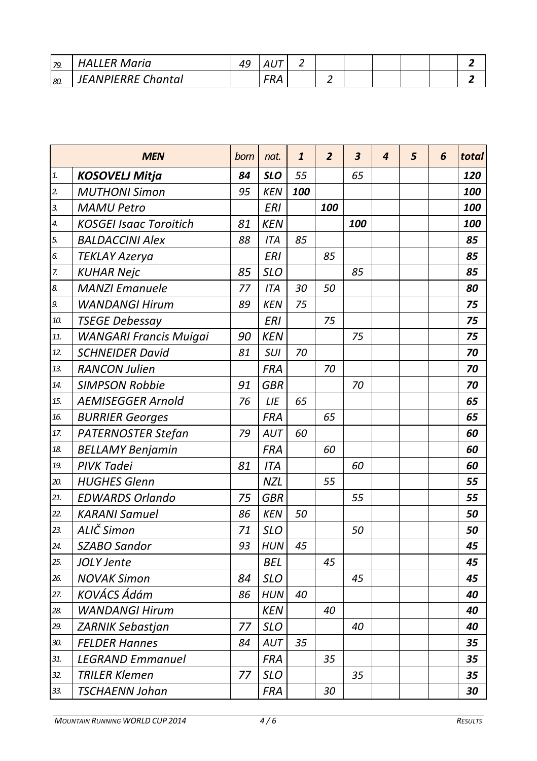| 79. | Maria<br>FR        | 49 | --<br>$\mathbf{v}$<br>າບ |   |  |  |  |
|-----|--------------------|----|--------------------------|---|--|--|--|
| 80  | JEANPIERRE Chantal |    | $\cdots$                 | - |  |  |  |

|                | <b>MEN</b>                    | born | nat.       | $\mathbf{1}$ | $\overline{2}$    | 3   | 4 | 5 | 6 | total |
|----------------|-------------------------------|------|------------|--------------|-------------------|-----|---|---|---|-------|
| 1.             | <b>KOSOVELJ Mitja</b>         | 84   | <b>SLO</b> | 55           |                   | 65  |   |   |   | 120   |
| $\overline{2}$ | <b>MUTHONI Simon</b>          | 95   | <b>KEN</b> | 100          |                   |     |   |   |   | 100   |
| 3.             | <b>MAMU Petro</b>             |      | <b>ERI</b> |              | <i><b>100</b></i> |     |   |   |   | 100   |
| 4.             | <b>KOSGEI Isaac Toroitich</b> | 81   | <b>KEN</b> |              |                   | 100 |   |   |   | 100   |
| 5.             | <b>BALDACCINI Alex</b>        | 88   | <b>ITA</b> | 85           |                   |     |   |   |   | 85    |
| 6.             | <b>TEKLAY Azerya</b>          |      | ERI        |              | 85                |     |   |   |   | 85    |
| 7.             | <b>KUHAR Nejc</b>             | 85   | <b>SLO</b> |              |                   | 85  |   |   |   | 85    |
| 8.             | <b>MANZI Emanuele</b>         | 77   | <b>ITA</b> | 30           | 50                |     |   |   |   | 80    |
| 9.             | <b>WANDANGI Hirum</b>         | 89   | <b>KEN</b> | 75           |                   |     |   |   |   | 75    |
| 10.            | <b>TSEGE Debessay</b>         |      | <b>ERI</b> |              | 75                |     |   |   |   | 75    |
| 11.            | <b>WANGARI Francis Muigai</b> | 90   | <b>KEN</b> |              |                   | 75  |   |   |   | 75    |
| 12.            | <b>SCHNEIDER David</b>        | 81   | SUI        | 70           |                   |     |   |   |   | 70    |
| 13.            | <b>RANCON Julien</b>          |      | <b>FRA</b> |              | 70                |     |   |   |   | 70    |
| 14.            | <b>SIMPSON Robbie</b>         | 91   | <b>GBR</b> |              |                   | 70  |   |   |   | 70    |
| 15.            | <b>AEMISEGGER Arnold</b>      | 76   | LIE        | 65           |                   |     |   |   |   | 65    |
| 16.            | <b>BURRIER Georges</b>        |      | <b>FRA</b> |              | 65                |     |   |   |   | 65    |
| 17.            | PATERNOSTER Stefan            | 79   | AUT        | 60           |                   |     |   |   |   | 60    |
| 18.            | <b>BELLAMY Benjamin</b>       |      | <b>FRA</b> |              | 60                |     |   |   |   | 60    |
| 19.            | <b>PIVK Tadei</b>             | 81   | <b>ITA</b> |              |                   | 60  |   |   |   | 60    |
| 20.            | <b>HUGHES Glenn</b>           |      | <b>NZL</b> |              | 55                |     |   |   |   | 55    |
| 21.            | <b>EDWARDS Orlando</b>        | 75   | <b>GBR</b> |              |                   | 55  |   |   |   | 55    |
| 22.            | <b>KARANI Samuel</b>          | 86   | <b>KEN</b> | 50           |                   |     |   |   |   | 50    |
| 23.            | ALIČ Simon                    | 71   | <b>SLO</b> |              |                   | 50  |   |   |   | 50    |
| 24.            | SZABO Sandor                  | 93   | <b>HUN</b> | 45           |                   |     |   |   |   | 45    |
| 25.            | JOLY Jente                    |      | <b>BEL</b> |              | 45                |     |   |   |   | 45    |
| 26.            | <b>NOVAK Simon</b>            | 84   | <b>SLO</b> |              |                   | 45  |   |   |   | 45    |
| 27.            | <b>KOVÁCS Ádám</b>            | 86   | <b>HUN</b> | 40           |                   |     |   |   |   | 40    |
| 28.            | <b>WANDANGI Hirum</b>         |      | <b>KEN</b> |              | 40                |     |   |   |   | 40    |
| 29.            | <b>ZARNIK Sebastjan</b>       | 77   | <b>SLO</b> |              |                   | 40  |   |   |   | 40    |
| 30.            | <b>FELDER Hannes</b>          | 84   | AUT        | 35           |                   |     |   |   |   | 35    |
| 31.            | <b>LEGRAND Emmanuel</b>       |      | <b>FRA</b> |              | 35                |     |   |   |   | 35    |
| 32.            | <b>TRILER Klemen</b>          | 77   | SLO        |              |                   | 35  |   |   |   | 35    |
| 33.            | <b>TSCHAENN Johan</b>         |      | <b>FRA</b> |              | 30                |     |   |   |   | 30    |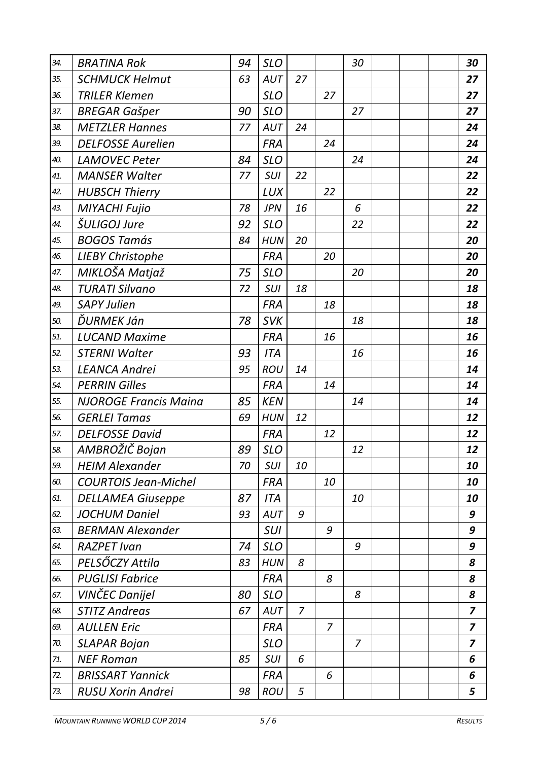| 34. | BRATINA Rok                  | 94 | <b>SLO</b> |    |    | 30 |  | 30 |
|-----|------------------------------|----|------------|----|----|----|--|----|
| 35. | SCHMUCK Helmut               | 63 | AUT        | 27 |    |    |  | 27 |
| 36. | <b>TRILER Klemen</b>         |    | <b>SLO</b> |    | 27 |    |  | 27 |
| 37. | <b>BREGAR Gašper</b>         | 90 | <b>SLO</b> |    |    | 27 |  | 27 |
| 38. | <b>METZLER Hannes</b>        | 77 | AUT        | 24 |    |    |  | 24 |
| 39. | <b>DELFOSSE Aurelien</b>     |    | <b>FRA</b> |    | 24 |    |  | 24 |
| 40. | <b>LAMOVEC Peter</b>         | 84 | <b>SLO</b> |    |    | 24 |  | 24 |
| 41. | <b>MANSER Walter</b>         | 77 | SUI        | 22 |    |    |  | 22 |
| 42. | <b>HUBSCH Thierry</b>        |    | LUX        |    | 22 |    |  | 22 |
| 43. | MIYACHI Fujio                | 78 | <b>JPN</b> | 16 |    | 6  |  | 22 |
| 44. | ŠULIGOJ Jure                 | 92 | SLO        |    |    | 22 |  | 22 |
| 45. | <b>BOGOS Tamás</b>           | 84 | <b>HUN</b> | 20 |    |    |  | 20 |
| 46. | <b>LIEBY Christophe</b>      |    | <b>FRA</b> |    | 20 |    |  | 20 |
| 47. | MIKLOŠA Matjaž               | 75 | <b>SLO</b> |    |    | 20 |  | 20 |
| 48. | <b>TURATI Silvano</b>        | 72 | SUI        | 18 |    |    |  | 18 |
| 49. | <b>SAPY Julien</b>           |    | <b>FRA</b> |    | 18 |    |  | 18 |
| 50. | ĎURMEK Ján                   | 78 | <b>SVK</b> |    |    | 18 |  | 18 |
| 51. | <b>LUCAND Maxime</b>         |    | <b>FRA</b> |    | 16 |    |  | 16 |
| 52. | <b>STERNI Walter</b>         | 93 | <b>ITA</b> |    |    | 16 |  | 16 |
| 53. | <b>LEANCA Andrei</b>         | 95 | ROU        | 14 |    |    |  | 14 |
| 54. | <b>PERRIN Gilles</b>         |    | <b>FRA</b> |    | 14 |    |  | 14 |
| 55. | <b>NJOROGE Francis Maina</b> | 85 | <b>KEN</b> |    |    | 14 |  | 14 |
| 56. | <b>GERLEI Tamas</b>          | 69 | HUN        | 12 |    |    |  | 12 |
| 57. | <b>DELFOSSE David</b>        |    | <b>FRA</b> |    | 12 |    |  | 12 |
| 58. | AMBROŽIČ Bojan               | 89 | <b>SLO</b> |    |    | 12 |  | 12 |
| 59. | <b>HEIM Alexander</b>        | 70 | SUI        | 10 |    |    |  | 10 |
| 60. | <b>COURTOIS Jean-Michel</b>  |    | <b>FRA</b> |    | 10 |    |  | 10 |
| 61. | <b>DELLAMEA Giuseppe</b>     | 87 | ITA        |    |    | 10 |  | 10 |
| 62. | JOCHUM Daniel                | 93 | AUT        | 9  |    |    |  | 9  |
| 63. | <b>BERMAN Alexander</b>      |    | SUI        |    | 9  |    |  | 9  |
| 64. | <b>RAZPET Ivan</b>           | 74 | <b>SLO</b> |    |    | 9  |  | 9  |
| 65. | PELSŐCZY Attila              | 83 | <b>HUN</b> | 8  |    |    |  | 8  |
| 66. | <b>PUGLISI Fabrice</b>       |    | <b>FRA</b> |    | 8  |    |  | 8  |
| 67. | VINČEC Danijel               | 80 | <b>SLO</b> |    |    | 8  |  | 8  |
| 68. | <b>STITZ Andreas</b>         | 67 | <b>AUT</b> | 7  |    |    |  | 7  |
| 69. | AULLEN Eric                  |    | FRA        |    | 7  |    |  | 7  |
| 70. | SLAPAR Bojan                 |    | <b>SLO</b> |    |    | 7  |  | 7  |
| 71. | <b>NEF Roman</b>             | 85 | SUI        | 6  |    |    |  | 6  |
| 72. | <b>BRISSART Yannick</b>      |    | <b>FRA</b> |    | 6  |    |  | 6  |
| 73. | RUSU Xorin Andrei            | 98 | ROU        | 5  |    |    |  | 5  |